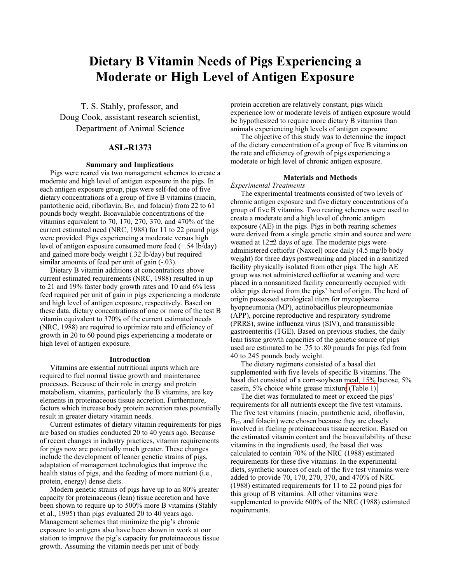# **Dietary B Vitamin Needs of Pigs Experiencing a Moderate or High Level of Antigen Exposure**

T. S. Stahly, professor, and Doug Cook, assistant research scientist, Department of Animal Science

# **ASL-R1373**

#### **Summary and Implications**

Pigs were reared via two management schemes to create a moderate and high level of antigen exposure in the pigs. In each antigen exposure group, pigs were self-fed one of five dietary concentrations of a group of five B vitamins (niacin, pantothenic acid, riboflavin,  $B_{12}$ , and folacin) from 22 to 61 pounds body weight. Bioavailable concentrations of the vitamins equivalent to 70, 170, 270, 370, and 470% of the current estimated need (NRC, 1988) for 11 to 22 pound pigs were provided. Pigs experiencing a moderate versus high level of antigen exposure consumed more feed (+.54 lb/day) and gained more body weight (.32 lb/day) but required similar amounts of feed per unit of gain  $(-0.03)$ .

Dietary B vitamin additions at concentrations above current estimated requirements (NRC, 1988) resulted in up to 21 and 19% faster body growth rates and 10 and 6% less feed required per unit of gain in pigs experiencing a moderate and high level of antigen exposure, respectively. Based on these data, dietary concentrations of one or more of the test B vitamin equivalent to 370% of the current estimated needs (NRC, 1988) are required to optimize rate and efficiency of growth in 20 to 60 pound pigs experiencing a moderate or high level of antigen exposure.

#### **Introduction**

Vitamins are essential nutritional inputs which are required to fuel normal tissue growth and maintenance processes. Because of their role in energy and protein metabolism, vitamins, particularly the B vitamins, are key elements in proteinaceous tissue accretion. Furthermore, factors which increase body protein accretion rates potentially result in greater dietary vitamin needs.

Current estimates of dietary vitamin requirements for pigs are based on studies conducted 20 to 40 years ago. Because of recent changes in industry practices, vitamin requirements for pigs now are potentially much greater. These changes include the development of leaner genetic strains of pigs, adaptation of management technologies that improve the health status of pigs, and the feeding of more nutrient (i.e., protein, energy) dense diets.

Modern genetic strains of pigs have up to an 80% greater capacity for proteinaceous (lean) tissue accretion and have been shown to require up to 500% more B vitamins (Stahly et al., 1995) than pigs evaluated 20 to 40 years ago. Management schemes that minimize the pig's chronic exposure to antigens also have been shown in work at our station to improve the pig's capacity for proteinaceous tissue growth. Assuming the vitamin needs per unit of body

protein accretion are relatively constant, pigs which experience low or moderate levels of antigen exposure would be hypothesized to require more dietary B vitamins than animals experiencing high levels of antigen exposure.

The objective of this study was to determine the impact of the dietary concentration of a group of five B vitamins on the rate and efficiency of growth of pigs experiencing a moderate or high level of chronic antigen exposure.

#### **Materials and Methods**

#### *Experimental Treatments*

The experimental treatments consisted of two levels of chronic antigen exposure and five dietary concentrations of a group of five B vitamins. Two rearing schemes were used to create a moderate and a high level of chronic antigen exposure (AE) in the pigs. Pigs in both rearing schemes were derived from a single genetic strain and source and were weaned at 12±2 days of age. The moderate pigs were administered ceftiofur (Naxcel) once daily (4.5 mg/lb body weight) for three days postweaning and placed in a sanitized facility physically isolated from other pigs. The high AE group was not administered ceftiofur at weaning and were placed in a nonsanitized facility concurrently occupied with older pigs derived from the pigs' herd of origin. The herd of origin possessed serological titers for mycoplasma hyopneumonia (MP), actinobacillus pleuropneumoniae (APP), porcine reproductive and respiratory syndrome (PRRS), swine influenza virus (SIV), and transmissible gastroenteritis (TGE). Based on previous studies, the daily lean tissue growth capacities of the genetic source of pigs used are estimated to be .75 to .80 pounds for pigs fed from 40 to 245 pounds body weight.

The dietary regimens consisted of a basal diet supplemented with five levels of specific B vitamins. The basal diet consisted of a corn-soybean meal, 15% lactose, 5% casein, 5% choice white grease mixtur[e \(Table 1\).](#page-1-0)

The diet was formulated to meet or exceed the pigs' requirements for all nutrients except the five test vitamins. The five test vitamins (niacin, pantothenic acid, riboflavin, B<sub>12</sub>, and folacin) were chosen because they are closely involved in fueling proteinaceous tissue accretion. Based on the estimated vitamin content and the bioavailability of these vitamins in the ingredients used, the basal diet was calculated to contain 70% of the NRC (1988) estimated requirements for these five vitamins. In the experimental diets, synthetic sources of each of the five test vitamins were added to provide 70, 170, 270, 370, and 470% of NRC (1988) estimated requirements for 11 to 22 pound pigs for this group of B vitamins. All other vitamins were supplemented to provide 600% of the NRC (1988) estimated requirements.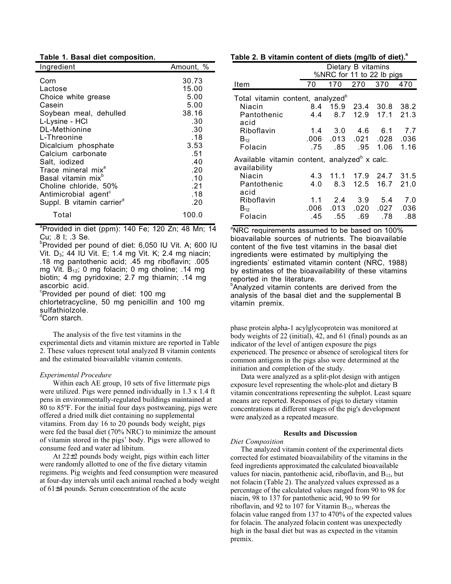<span id="page-1-0"></span>

|  |  |  |  |  | Table 1. Basal diet composition. |
|--|--|--|--|--|----------------------------------|
|--|--|--|--|--|----------------------------------|

| Ingredient                                                                                                                                                                                                                                                                                                                                                          | Amount, %                                                                                                             |
|---------------------------------------------------------------------------------------------------------------------------------------------------------------------------------------------------------------------------------------------------------------------------------------------------------------------------------------------------------------------|-----------------------------------------------------------------------------------------------------------------------|
| Corn<br>Lactose<br>Choice white grease<br>Casein<br>Soybean meal, dehulled<br>L-Lysine - HCl<br>DL-Methionine<br>L-Threonine<br>Dicalcium phosphate<br>Calcium carbonate<br>Salt, iodized<br>Trace mineral mix <sup>a</sup><br>Basal vitamin mix <sup>b</sup><br>Choline chloride, 50%<br>Antimicrobial agent <sup>c</sup><br>Suppl. B vitamin carrier <sup>d</sup> | 30.73<br>15.00<br>5.00<br>5.00<br>38.16<br>.30<br>.30<br>.18<br>3.53<br>.51<br>.40<br>.20<br>.10<br>.21<br>.18<br>.20 |
| Total                                                                                                                                                                                                                                                                                                                                                               | 100.0                                                                                                                 |
|                                                                                                                                                                                                                                                                                                                                                                     |                                                                                                                       |

a Provided in diet (ppm): 140 Fe; 120 Zn; 48 Mn; 14 Cu; .8 I; .3 Se.

b Provided per pound of diet: 6,050 IU Vit. A; 600 IU Vit. D<sub>3</sub>; 44 IU Vit. E; 1.4 mg Vit. K; 2.4 mg niacin; .18 mg pantothenic acid; .45 mg riboflavin; .005 mg Vit.  $B_{12}$ ; 0 mg folacin; 0 mg choline; .14 mg biotin; 4 mg pyridoxine; 2.7 mg thiamin; .14 mg ascorbic acid. <sup>c</sup>Provided per pound of diet: 100 mg

chlortetracycline, 50 mg penicillin and 100 mg sulfathiolzole.

dCorn starch.

The analysis of the five test vitamins in the experimental diets and vitamin mixture are reported in Table 2. These values represent total analyzed B vitamin contents and the estimated bioavailable vitamin contents.

#### *Experimental Procedure*

Within each AE group, 10 sets of five littermate pigs were utilized. Pigs were penned individually in 1.3 x 1.4 ft pens in environmentally-regulated buildings maintained at 80 to 85ºF. For the initial four days postweaning, pigs were offered a dried milk diet containing no supplemental vitamins. From day 16 to 20 pounds body weight, pigs were fed the basal diet (70% NRC) to minimize the amount of vitamin stored in the pigs' body. Pigs were allowed to consume feed and water ad libitum.

At 22±2 pounds body weight, pigs within each litter were randomly allotted to one of the five dietary vitamin regimens. Pig weights and feed consumption were measured at four-day intervals until each animal reached a body weight of 61±4 pounds. Serum concentration of the acute

|                                                                          | Dietary B vitamins        |      |                           |      |           |  |  |
|--------------------------------------------------------------------------|---------------------------|------|---------------------------|------|-----------|--|--|
|                                                                          | %NRC for 11 to 22 lb pigs |      |                           |      |           |  |  |
| Item                                                                     | 70                        | 170  | 270                       | 370  | 470       |  |  |
| Total vitamin content, analyzed <sup>b</sup>                             |                           |      |                           |      |           |  |  |
| Niacin                                                                   | 8.4                       | 15.9 | 23.4                      | 30.8 | 38.2      |  |  |
| Pantothenic<br>acid                                                      | 4.4                       | 8.7  | 12.9                      | 17.1 | 21.3      |  |  |
| Riboflavin                                                               | 1.4                       |      | $3.0 \quad 4.6 \quad 6.1$ |      | 7.7       |  |  |
| $B_{12}$                                                                 | .006                      | .013 | .021                      | .028 | .036      |  |  |
| Folacin                                                                  | .75                       | .85  | .95                       | 1.06 | 1.16      |  |  |
| Available vitamin content, analyzed <sup>b</sup> x calc.<br>availability |                           |      |                           |      |           |  |  |
| Niacin                                                                   | 4.3                       | 11.1 | 17.9                      |      | 24.7 31.5 |  |  |
| Pantothenic<br>acid                                                      | 4.0                       | 8.3  | 12.5                      | 16.7 | 21.0      |  |  |
| Riboflavin                                                               | 1.1                       |      | 2.4 3.9 5.4               |      | 7.0       |  |  |
| $B_{12}$                                                                 | .006                      | .013 | .020                      | .027 | .036      |  |  |
| Folacin                                                                  | .45                       | .55  | .69                       | .78  | .88       |  |  |

<sup>a</sup>NRC requirements assumed to be based on 100% bioavailable sources of nutrients. The bioavailable content of the five test vitamins in the basal diet ingredients were estimated by multiplying the ingredients' estimated vitamin content (NRC, 1988) by estimates of the bioavailability of these vitamins reported in the literature.

<sup>b</sup>Analyzed vitamin contents are derived from the analysis of the basal diet and the supplemental B vitamin premix.

phase protein alpha-1 acylglycoprotein was monitored at body weights of 22 (initial), 42, and 61 (final) pounds as an indicator of the level of antigen exposure the pigs experienced. The presence or absence of serological titers for common antigens in the pigs also were determined at the initiation and completion of the study.

Data were analyzed as a split-plot design with antigen exposure level representing the whole-plot and dietary B vitamin concentrations representing the subplot. Least square means are reported. Responses of pigs to dietary vitamin concentrations at different stages of the pig's development were analyzed as a repeated measure.

#### **Results and Discussion**

### *Diet Composition*

The analyzed vitamin content of the experimental diets corrected for estimated bioavailability of the vitamins in the feed ingredients approximated the calculated bioavailable values for niacin, pantothenic acid, riboflavin, and B12, but not folacin (Table 2). The analyzed values expressed as a percentage of the calculated values ranged from 90 to 98 for niacin, 98 to 137 for pantothenic acid, 90 to 99 for riboflavin, and 92 to 107 for Vitamin  $B_{12}$ , whereas the folacin value ranged from 137 to 470% of the expected values for folacin. The analyzed folacin content was unexpectedly high in the basal diet but was as expected in the vitamin premix.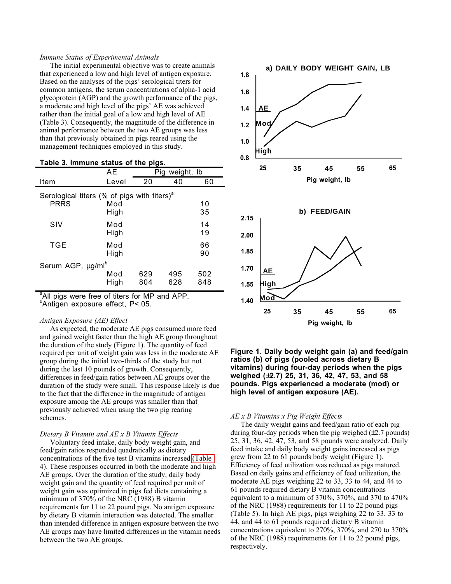#### *Immune Status of Experimental Animals*

The initial experimental objective was to create animals that experienced a low and high level of antigen exposure. Based on the analyses of the pigs' serological titers for common antigens, the serum concentrations of alpha-1 acid glycoprotein (AGP) and the growth performance of the pigs, a moderate and high level of the pigs' AE was achieved rather than the initial goal of a low and high level of AE (Table 3). Consequently, the magnitude of the difference in animal performance between the two AE groups was less than that previously obtained in pigs reared using the management techniques employed in this study.

## **Table 3. Immune status of the pigs.**

|                                                                        | AE          | Pig weight, Ib |            |            |  |  |  |  |
|------------------------------------------------------------------------|-------------|----------------|------------|------------|--|--|--|--|
| Item                                                                   | Level       | 20             | 40         | 60         |  |  |  |  |
| Serological titers (% of pigs with titers) <sup>a</sup><br><b>PRRS</b> | Mod<br>High |                |            | 10<br>35   |  |  |  |  |
| SIV                                                                    | Mod<br>High |                |            | 14<br>19   |  |  |  |  |
| TGE                                                                    | Mod<br>High |                |            | 66<br>90   |  |  |  |  |
| Serum AGP, µg/ml <sup>b</sup>                                          |             |                |            |            |  |  |  |  |
|                                                                        | Mod<br>High | 629<br>804     | 495<br>628 | 502<br>848 |  |  |  |  |

<sup>a</sup>All pigs were free of titers for MP and APP. b Antigen exposure effect, P<.05.

#### *Antigen Exposure (AE) Effect*

As expected, the moderate AE pigs consumed more feed and gained weight faster than the high AE group throughout the duration of the study (Figure 1). The quantity of feed required per unit of weight gain was less in the moderate AE group during the initial two-thirds of the study but not during the last 10 pounds of growth. Consequently, differences in feed/gain ratios between AE groups over the duration of the study were small. This response likely is due to the fact that the difference in the magnitude of antigen exposure among the AE groups was smaller than that previously achieved when using the two pig rearing schemes.

#### *Dietary B Vitamin and AE x B Vitamin Effects*

Voluntary feed intake, daily body weight gain, and feed/gain ratios responded quadratically as dietary concentrations of the five test B vitamins increased [\(Table](#page-3-0) 4). These responses occurred in both the moderate and high AE groups. Over the duration of the study, daily body weight gain and the quantity of feed required per unit of weight gain was optimized in pigs fed diets containing a minimum of 370% of the NRC (1988) B vitamin requirements for 11 to 22 pound pigs. No antigen exposure by dietary B vitamin interaction was detected. The smaller than intended difference in antigen exposure between the two AE groups may have limited differences in the vitamin needs between the two AE groups.



**Figure 1. Daily body weight gain (a) and feed/gain ratios (b) of pigs (pooled across dietary B vitamins) during four-day periods when the pigs weighed (**±**2.7) 25, 31, 36, 42, 47, 53, and 58 pounds. Pigs experienced a moderate (mod) or high level of antigen exposure (AE).**

#### *AE x B Vitamins x Pig Weight Effects*

The daily weight gains and feed/gain ratio of each pig during four-day periods when the pig weighed  $(\pm 2.7 \text{ pounds})$ 25, 31, 36, 42, 47, 53, and 58 pounds were analyzed. Daily feed intake and daily body weight gains increased as pigs grew from 22 to 61 pounds body weight (Figure 1). Efficiency of feed utilization was reduced as pigs matured. Based on daily gains and efficiency of feed utilization, the moderate AE pigs weighing 22 to 33, 33 to 44, and 44 to 61 pounds required dietary B vitamin concentrations equivalent to a minimum of 370%, 370%, and 370 to 470% of the NRC (1988) requirements for 11 to 22 pound pigs (Table 5). In high AE pigs, pigs weighing 22 to 33, 33 to 44, and 44 to 61 pounds required dietary B vitamin concentrations equivalent to 270%, 370%, and 270 to 370% of the NRC (1988) requirements for 11 to 22 pound pigs, respectively.